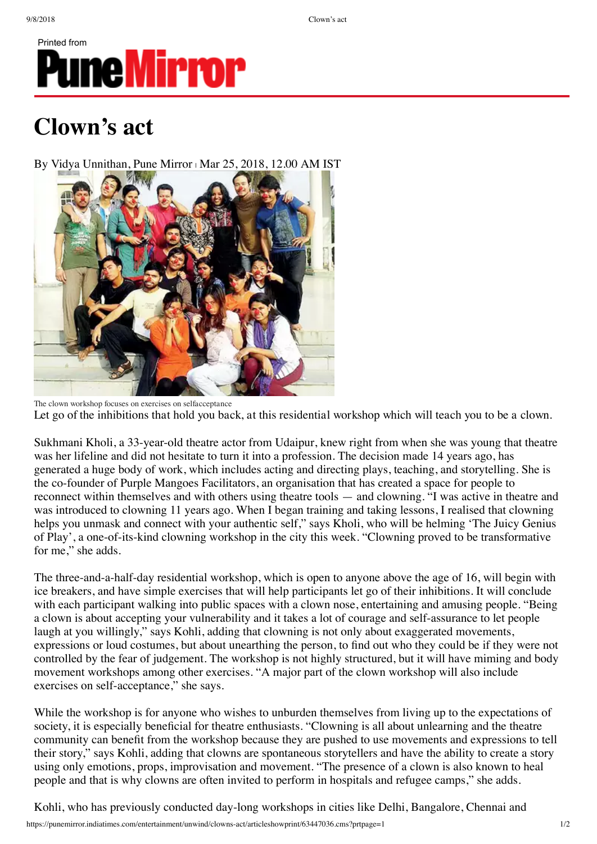Printed from

## **PuneMirror**

## **Clown's act**

By Vidya Unnithan, Pune Mirror | Mar 25, 2018, 12.00 AM IST



The clown workshop focuses on exercises on selfacceptance Let go of the inhibitions that hold you back, at this residential workshop which will teach you to be a clown.

Sukhmani Kholi, a 33-year-old theatre actor from Udaipur, knew right from when she was young that theatre was her lifeline and did not hesitate to turn it into a profession. The decision made 14 years ago, has generated a huge body of work, which includes acting and directing plays, teaching, and storytelling. She is the co-founder of Purple Mangoes Facilitators, an organisation that has created a space for people to reconnect within themselves and with others using theatre tools — and clowning. "I was active in theatre and was introduced to clowning 11 years ago. When I began training and taking lessons, I realised that clowning helps you unmask and connect with your authentic self," says Kholi, who will be helming 'The Juicy Genius of Play', a one-of-its-kind clowning workshop in the city this week. "Clowning proved to be transformative for me," she adds.

The three-and-a-half-day residential workshop, which is open to anyone above the age of 16, will begin with ice breakers, and have simple exercises that will help participants let go of their inhibitions. It will conclude with each participant walking into public spaces with a clown nose, entertaining and amusing people. "Being" a clown is about accepting your vulnerability and it takes a lot of courage and self-assurance to let people laugh at you willingly," says Kohli, adding that clowning is not only about exaggerated movements, expressions or loud costumes, but about unearthing the person, to find out who they could be if they were not controlled by the fear of judgement. The workshop is not highly structured, but it will have miming and body movement workshops among other exercises. "A major part of the clown workshop will also include exercises on self-acceptance," she says.

While the workshop is for anyone who wishes to unburden themselves from living up to the expectations of society, it is especially beneficial for theatre enthusiasts. "Clowning is all about unlearning and the theatre community can benefit from the workshop because they are pushed to use movements and expressions to tell their story," says Kohli, adding that clowns are spontaneous storytellers and have the ability to create a story using only emotions, props, improvisation and movement. "The presence of a clown is also known to heal people and that is why clowns are often invited to perform in hospitals and refugee camps," she adds.

Kohli, who has previously conducted day-long workshops in cities like Delhi, Bangalore, Chennai and